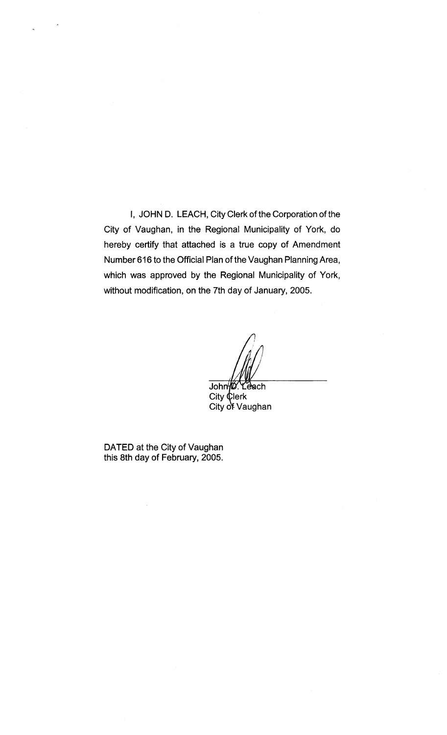I, JOHN D. LEACH, City Clerk of the Corporation of the City of Vaughan, in the Regional Municipality of York, do hereby certify that attached is a true copy of Amendment Number 616 to the Official Plan of the Vaughan Planning Area, which was approved by the Regional Municipality of York, without modification, on the 7th day of January, 2005.

John B. Leach

 $City$   $Q$ lerk City of Vaughan

DATED at the City of Vaughan this 8th day of February, 2005.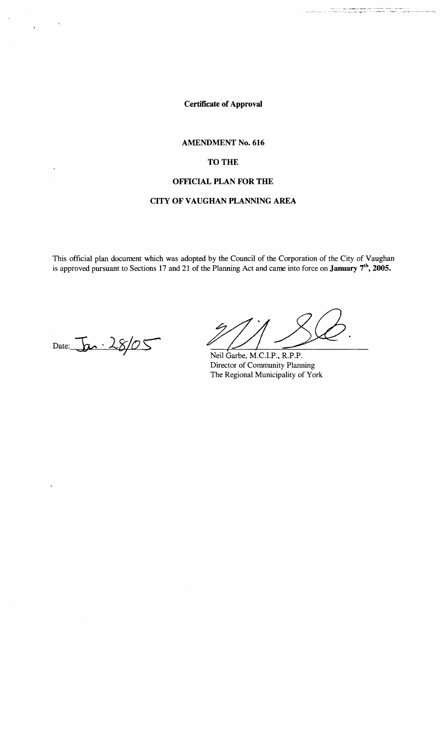Certificate of Approval

## AMENDMENT No. 616

# TO THE

# OFFICIAL PLAN FOR THE

# CITY OF VAUGHAN PLANNING AREA

This official plan document which was adopted by the Council of the Corporation of the City of Vaughan is approved pursuant to Sections 17 and 21 of the Planning Act and came into force on **January 7<sup>th</sup>**, 2005.

Date:  $\overline{\mathbf{b}}$ . 28/05

 $\ddot{\phantom{1}}$ 

.<br>The contract of the contract of the contract of the state of the contract of the contract of the second of the<br>"The contract of the contract of the contract of the contract of the contract of the contract of the contract

Neil Garbe, M.C.I.P., R.P.P. Director of Community Planning The Regional Municipality of York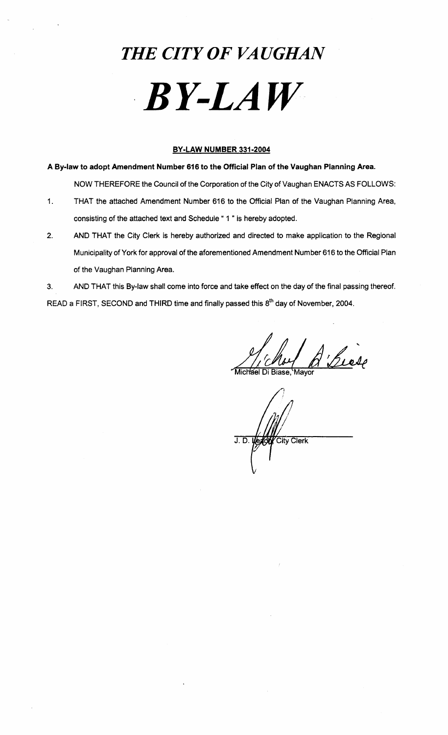# *THE CITY OF VAUGHAN*  . *BY-LAW*

## **BY-LAW NUMBER 331-2004**

**A By-law to adopt Amendment Number 616 to the Official Plan of the Vaughan Planning Area.** 

NOW THEREFORE the Council of the Corporation of the City of Vaughan ENACTS AS FOLLOWS:

- 1. THAT the attached Amendment Number 616 to the Official Plan of the Vaughan Planning Area, consisting of the attached text and Schedule "1" is hereby adopted.
- 2. AND THAT the City Clerk is hereby authorized and directed to make application to the Regional Municipality of York for approval of the aforementioned Amendment Number 616 to the Official Plan of the Vaughan Planning Area.

3. AND THAT this By-law shall come into force and take effect on the day of the final passing thereof. READ a FIRST, SECOND and THIRD time and finally passed this 8<sup>th</sup> day of November, 2004.

A Luce

ichael Di Biase

City Clerk  $J.D.1$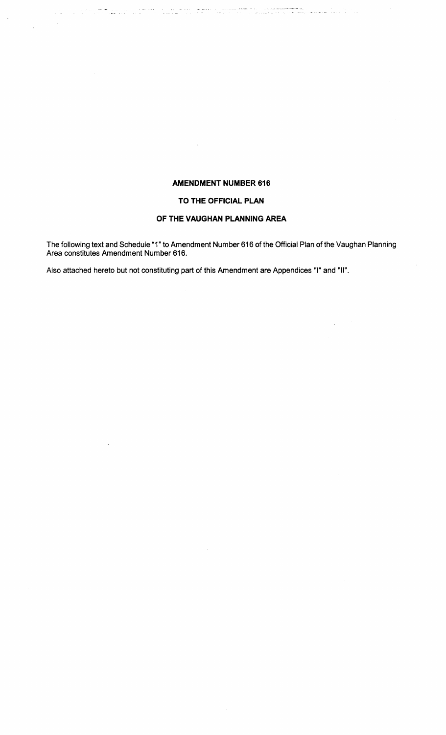# **AMENDMENT NUMBER 616**

#### **TO THE OFFICIAL PLAN**

# **OF THE VAUGHAN PLANNING AREA**

The following text and Schedule "1" to Amendment Number 616 of the Official Plan of the Vaughan Planning Area constitutes Amendment Number 616.

Also attached hereto but not constituting part of this Amendment are Appendices "I" and "II".

ന്നും പ്രായിക്കാന് കൊണ്ടുകള്ള പ്രവർത്തിക്കുന്നു. പ്രായി കാര്യങ്ങള് പ്രായിക്കുകയും കൊണ്ടുകളും പ്രവർത്തിക്കുകയും<br>പ്രവർത്തിക്കുകയും കൊണ്ട് പ്രായി പ്രായിക്കുകയും പ്രവർത്തിക്കാന് കാര്യങ്ങളില് പ്രവർത്തിക്കുകയും പ്രവർത്തിക്കുകയു

i,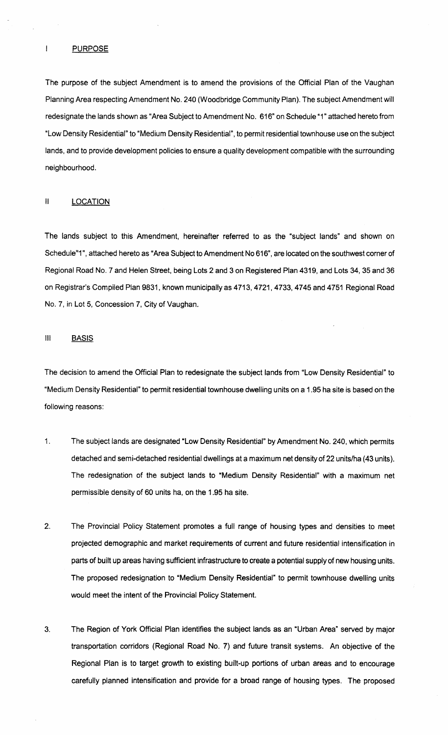#### **PURPOSE**

 $\mathbf{l}$ 

The purpose of the subject Amendment is to amend the provisions of the Official Plan of the Vaughan Planning Area respecting Amendment No. 240 (Woodbridge Community Plan). The subject Amendment will redesignate the lands shown as "Area Subject to Amendment No. 616" on Schedule "1" attached hereto from "Low Density Residential" to "Medium Density Residential", to permit residential townhouse use on the subject lands, and to provide development policies to ensure a quality development compatible with the surrounding neighbourhood.

## II LOCATION

The lands subject to this Amendment, hereinafter referred to as the "subject lands" and shown on Schedule"1", attached hereto as "Area Subject to Amendment No 616", are located on the southwest corner of Regional Road NO.7 and Helen Street, being Lots 2 and 3 on Registered Plan 4319, and Lots 34, 35 and 36 on Registrar's Compiled Plan 9831, known municipally as 4713,4721,4733,4745 and 4751 Regional Road No.7, in Lot 5, Concession 7, City of Vaughan.

#### III BASIS

The decision to amend the Official Plan to redesignate the subject lands from "Low Density Residential" to "Medium Density Residential" to permit residential townhouse dwelling units on a 1.95 ha site is based on the following reasons:

- 1. The subject lands are designated "Low Density Residential" by Amendment No. 240, which permits detached and semi-detached residential dwellings at a maximum net density of 22 units/ha (43 units). The redesignation of the subject lands to "Medium Density Residential" with a maximum net permissible density of 60 units ha, on the 1.95 ha site.
- 2. The Provincial Policy Statement promotes a full range of housing types and densities to meet projected demographic and market requirements of current and future residential intensification in parts of built up areas having sufficient infrastructure to create a potential supply of new housing units. The proposed redesignation to "Medium Density Residential" to permit townhouse dwelling units would meet the intent of the Provincial Policy Statement.
- 3. The Region of York Official Plan identifies the subject lands as an "Urban Area" served by major transportation corridors (Regional Road No.7) and future transit systems. An objective of the Regional Plan is to target growth to existing built-up portions of urban areas and to encourage carefully planned intensification and provide for a broad range of housing types. The proposed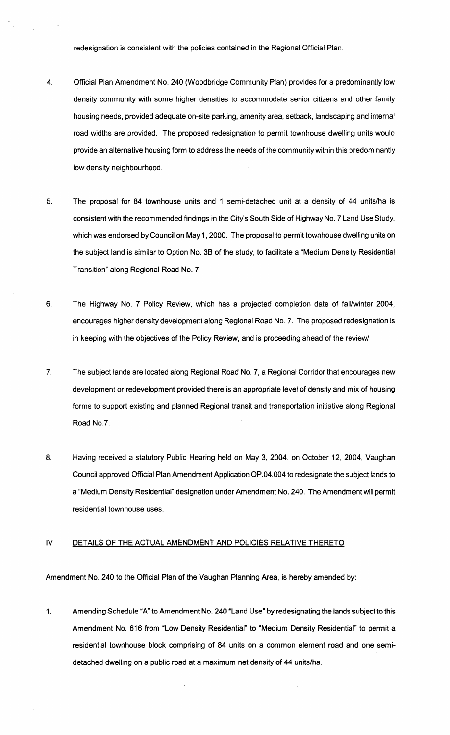redesignation is consistent with the policies contained in the Regional Official Plan.

- 4. Official Plan Amendment No. 240 (Woodbridge Community Plan) provides for a predominantly low density community with some higher densities to accommodate senior citizens and other family housing needs, provided adequate on-site parking, amenity area, setback, landscaping and internal road widths are provided. The proposed redesignation to permit townhouse dwelling units would provide an alternative housing form to address the needs of the community within this predominantly low density neighbourhood.
- 5. The proposal for 84 townhouse units and 1 semi-detached unit at a density of 44 units/ha is consistent with the recommended findings in the City's South Side of Highway No. 7 Land Use Study, which was endorsed by Council on May 1, 2000. The proposal to permit townhouse dwelling units on the subject land is similar to Option No. 38 of the study, to facilitate a "Medium Density Residential Transition" along Regional Road No.7.
- 6. The Highway NO.7 Policy Review, which has a projected completion date of fall/winter 2004, encourages higher density development along Regional Road NO.7. The proposed redesignation is in keeping with the objectives of the Policy Review, and is proceeding ahead of the review/
- 7. The subject lands are located along Regional Road No.7, a Regional Corridor that encourages new development or redevelopment provided there is an appropriate level of density and mix of housing forms to support existing and planned Regional transit and transportation initiative along Regional Road NO.7.
- 8. Having received a statutory Public Hearing held on May 3, 2004, on October 12. 2004, Vaughan Council approved Official Plan Amendment Application OP .04.004 to redesignate the subject lands to a "Medium Density Residential" designation under Amendment No. 240. The Amendment will permit residential townhouse uses.

#### IV DETAILS OF THE ACTUAL AMENDMENT AND POLICIES RELATIVE THERETO

Amendment No. 240 to the Official Plan of the Vaughan Planning Area, is hereby amended by:

1. Amending Schedule "A" to Amendment No. 240 "Land Use" by redesignating the lands subject to this Amendment No. 616 from "Low Density Residential" to "Medium Density Residential" to permit a residential townhouse block comprising of 84 units on a common element road and one semidetached dwelling on a public road at a maximum net density of 44 units/ha.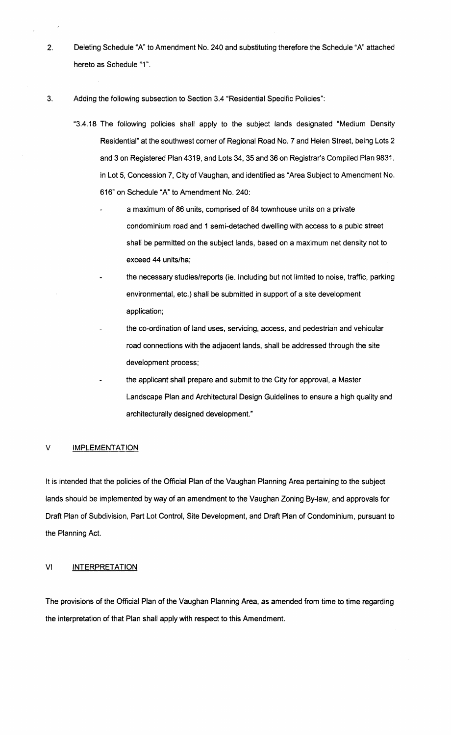2. Deleting Schedule "A" to Amendment No. 240 and substituting therefore the Schedule "A" attached hereto as Schedule "1".

3. Adding the following subsection to Section 3.4 "Residential Specific Policies":

- "3.4.18 The following pOlicies shall apply to the subject lands designated "Medium Density Residential" at the southwest corner of Regional Road No. 7 and Helen Street, being Lots 2 and 3 on Registered Plan 4319, and Lots 34, 35 and 36 on Registrar's Compiled Plan 9831, in Lot 5, Concession 7, City of Vaughan, and identified as "Area Subject to Amendment No. 616" on Schedule "A" to Amendment No. 240:
	- a maximum of 86 units, comprised of 84 townhouse units on a private . condominium road and 1 semi-detached dwelling with access to a pubic street shall be permitted on the subject lands, based on a maximum net density not to exceed 44 units/ha;
	- the necessary studies/reports (ie. Including but not limited to noise, traffic, parking environmental, etc.) shall be submitted in support of a site development application;
	- the co-ordination of land uses, servicing, access, and pedestrian and vehicular road connections with the adjacent lands, shall be addressed through the site development process;
	- the applicant shall prepare and submit to the City for approval, a Master Landscape Plan and Architectural DeSign Guidelines to ensure a high quality and architecturally designed development."

#### V **IMPLEMENTATION**

It is intended that the policies of the Official Plan of the Vaughan Planning Area pertaining to the subject lands should be implemented by way of an amendment to the Vaughan Zoning By-law, and approvals for Draft Plan of Subdivision, Part Lot Control, Site Development, and Draft Plan of Condominium, pursuant to the Planning Act.

### VI INTERPRETATION

The provisions of the Official Plan of the Vaughan Planning Area, as amended from time to time regarding the interpretation of that Plan shall apply with respect to this Amendment.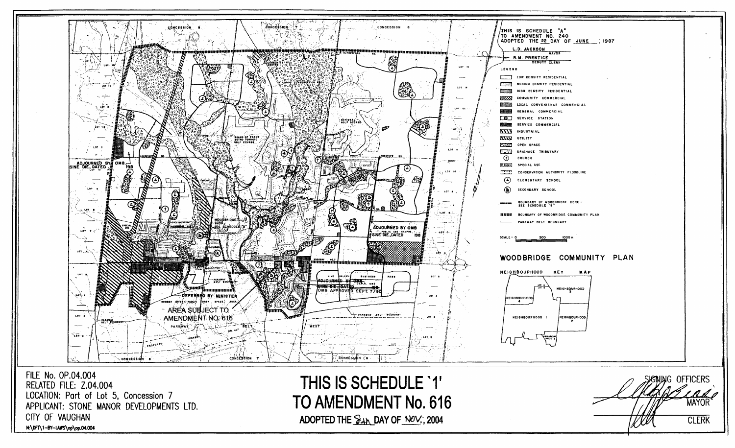

FILE No. OP.04.004 RELATED FILE: Z.04.004 LOCATION: Port of Lot 5, Concession 7 APPLICANT: STONE MANOR DEVELOPMENTS LTD. CITY OF VAUGHAN N:\DFT\1-BY-IAWS\op\op.04.004

THIS IS SCHEDULE '1' TO AMENDMENT No. 616 ADOPTED THE  $\frac{1}{24}$  DAY OF NOV., 2004

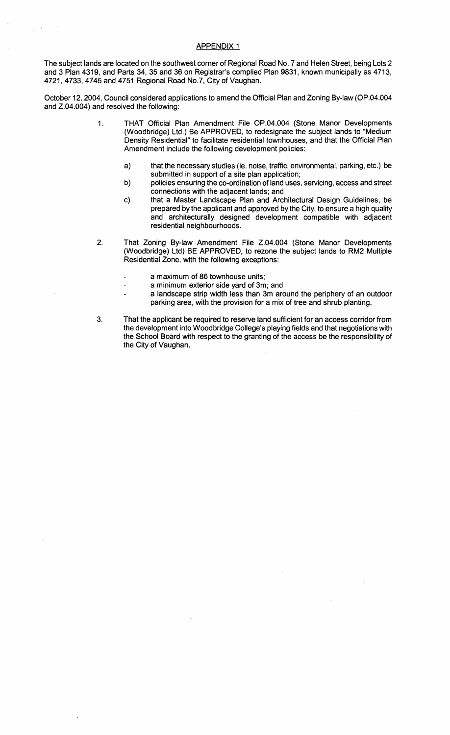## APPENDIX 1

The subject lands are located on the southwest corner of Regional Road No.7 and Helen Street, being Lots 2 and 3 Plan 4319, and Parts 34, 35 and 36 on Registrar's complied Plan 9831, known municipally as 4713, 4721,4733,4745 and 4751 Regional Road No.7, City of Vaughan.

October 12, 2004, Council considered applications to amend the Official Plan and Zoning By-law (OP.04.004 and Z.04.004) and resolved the following:

- 1. THAT Official Plan Amendment File OP.04.004 (Stone Manor Developments (Woodbridge) Ltd.) Be APPROVED, to redesignate the subject lands to "Medium Density Residential" to facilitate residential townhouses, and that the Official Plan Amendment include the following development policies:
	- a) that the necessary studies (ie. noise, traffic, environmental, parking, etc.) be submitted in support of a site plan application;
	- b) policies ensuring the co-ordination of land uses, servicing, access and street connections with the adjacent lands; and
	- c) that a Master Landscape Plan and Architectural Design Guidelines, be prepared by the applicant and approved by the City, to ensure a high quality and architecturally designed development compatible with adjacent residential neighbourhoods.
- 2. That Zoning By-law Amendment File Z.04.004 (Stone Manor Developments (Woodbridge) Ltd) BE APPROVED, to rezone the subject lands to RM2 Multiple Residential Zone, with the following exceptions:
	- a maximum of 86 townhouse units;
		- a minimum exterior side yard of 3m; and
		- a landscape strip width less than 3m around the periphery of an outdoor parking area, with the provision for a mix of tree and shrub planting.
- 3. That the applicant be required to reserve land sufficient for an access corridor from the development into Woodbridge College's playing fields and that negotiations with the School Board with respect to the granting of the access be the responsibility of the City of Vaughan.